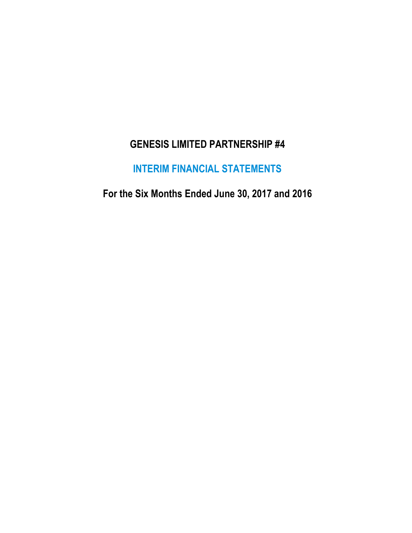## **GENESIS LIMITED PARTNERSHIP #4**

# **INTERIM FINANCIAL STATEMENTS**

**For the Six Months Ended June 30, 2017 and 2016**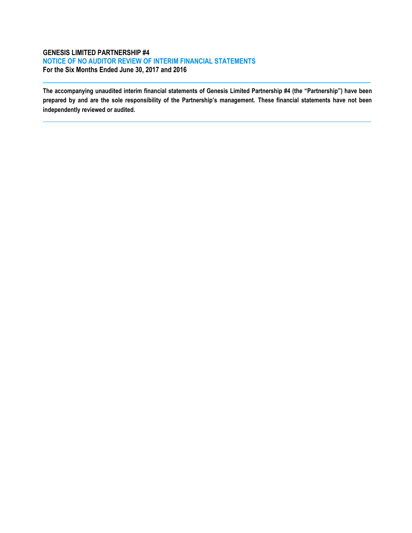## **GENESIS LIMITED PARTNERSHIP #4 NOTICE OF NO AUDITOR REVIEW OF INTERIM FINANCIAL STATEMENTS For the Six Months Ended June 30, 2017 and 2016**

**The accompanying unaudited interim financial statements of Genesis Limited Partnership #4 (the "Partnership") have been prepared by and are the sole responsibility of the Partnership's management. These financial statements have not been independently reviewed or audited.**

**\_\_\_\_\_\_\_\_\_\_\_\_\_\_\_\_\_\_\_\_\_\_\_\_\_\_\_\_\_\_\_\_\_\_\_\_\_\_\_\_\_\_\_\_\_\_\_\_\_\_\_\_\_\_\_\_\_\_\_\_\_\_\_\_\_\_\_\_\_\_\_\_\_\_\_\_\_\_\_\_\_\_\_\_\_\_\_\_\_\_\_\_\_\_\_\_\_\_\_\_\_\_\_\_\_\_\_**

 $\_$  ,  $\_$  ,  $\_$  ,  $\_$  ,  $\_$  ,  $\_$  ,  $\_$  ,  $\_$  ,  $\_$  ,  $\_$  ,  $\_$  ,  $\_$  ,  $\_$  ,  $\_$  ,  $\_$  ,  $\_$  ,  $\_$  ,  $\_$  ,  $\_$  ,  $\_$  ,  $\_$  ,  $\_$  ,  $\_$  ,  $\_$  ,  $\_$  ,  $\_$  ,  $\_$  ,  $\_$  ,  $\_$  ,  $\_$  ,  $\_$  ,  $\_$  ,  $\_$  ,  $\_$  ,  $\_$  ,  $\_$  ,  $\_$  ,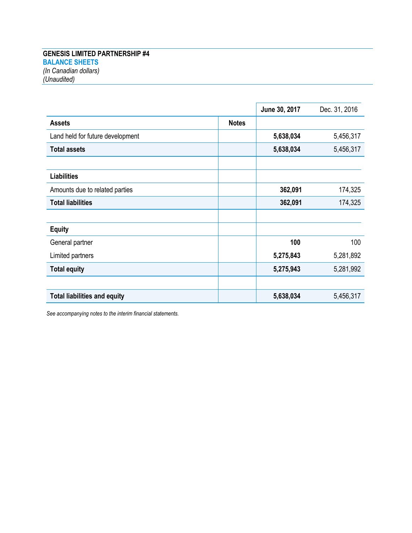## **GENESIS LIMITED PARTNERSHIP #4 BALANCE SHEETS** *(In Canadian dollars) (Unaudited)*

|                                     |              | June 30, 2017 | Dec. 31, 2016 |
|-------------------------------------|--------------|---------------|---------------|
| <b>Assets</b>                       | <b>Notes</b> |               |               |
| Land held for future development    |              | 5,638,034     | 5,456,317     |
| <b>Total assets</b>                 |              | 5,638,034     | 5,456,317     |
|                                     |              |               |               |
| <b>Liabilities</b>                  |              |               |               |
| Amounts due to related parties      |              | 362,091       | 174,325       |
| <b>Total liabilities</b>            |              | 362,091       | 174,325       |
|                                     |              |               |               |
| <b>Equity</b>                       |              |               |               |
| General partner                     |              | 100           | 100           |
| Limited partners                    |              | 5,275,843     | 5,281,892     |
| <b>Total equity</b>                 |              | 5,275,943     | 5,281,992     |
|                                     |              |               |               |
| <b>Total liabilities and equity</b> |              | 5,638,034     | 5,456,317     |

*See accompanying notes to the interim financial statements.*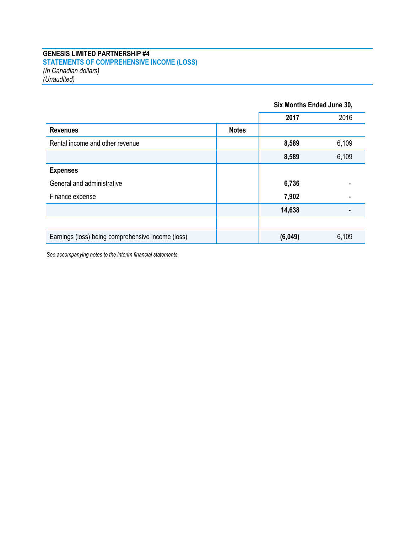#### **GENESIS LIMITED PARTNERSHIP #4 STATEMENTS OF COMPREHENSIVE INCOME (LOSS)** *(In Canadian dollars) (Unaudited)*

|                                                   |              | Six Months Ended June 30, |       |
|---------------------------------------------------|--------------|---------------------------|-------|
|                                                   |              | 2017                      | 2016  |
| <b>Revenues</b>                                   | <b>Notes</b> |                           |       |
| Rental income and other revenue                   |              | 8,589                     | 6,109 |
|                                                   |              | 8,589                     | 6,109 |
| <b>Expenses</b>                                   |              |                           |       |
| General and administrative                        |              | 6,736                     |       |
| Finance expense                                   |              | 7,902                     |       |
|                                                   |              | 14,638                    |       |
|                                                   |              |                           |       |
| Earnings (loss) being comprehensive income (loss) |              | (6,049)                   | 6,109 |

*See accompanying notes to the interim financial statements.*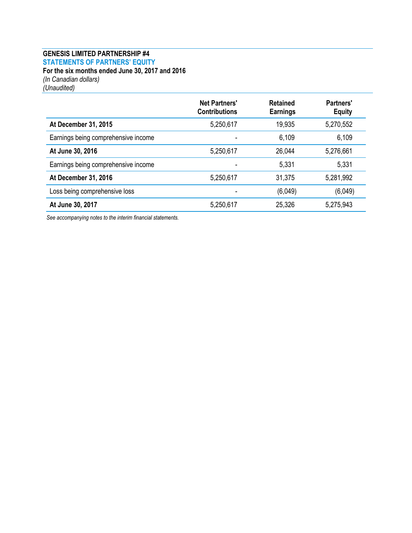#### **GENESIS LIMITED PARTNERSHIP #4 STATEMENTS OF PARTNERS' EQUITY For the six months ended June 30, 2017 and 2016** *(In Canadian dollars)*

*(Unaudited)*

|                                     | <b>Net Partners'</b><br><b>Contributions</b> | <b>Retained</b><br><b>Earnings</b> | Partners'<br><b>Equity</b> |
|-------------------------------------|----------------------------------------------|------------------------------------|----------------------------|
| At December 31, 2015                | 5,250,617                                    | 19,935                             | 5,270,552                  |
| Earnings being comprehensive income |                                              | 6,109                              | 6,109                      |
| At June 30, 2016                    | 5,250,617                                    | 26,044                             | 5,276,661                  |
| Earnings being comprehensive income |                                              | 5,331                              | 5,331                      |
| At December 31, 2016                | 5,250,617                                    | 31,375                             | 5,281,992                  |
| Loss being comprehensive loss       |                                              | (6,049)                            | (6,049)                    |
| At June 30, 2017                    | 5,250,617                                    | 25,326                             | 5,275,943                  |

*See accompanying notes to the interim financial statements.*